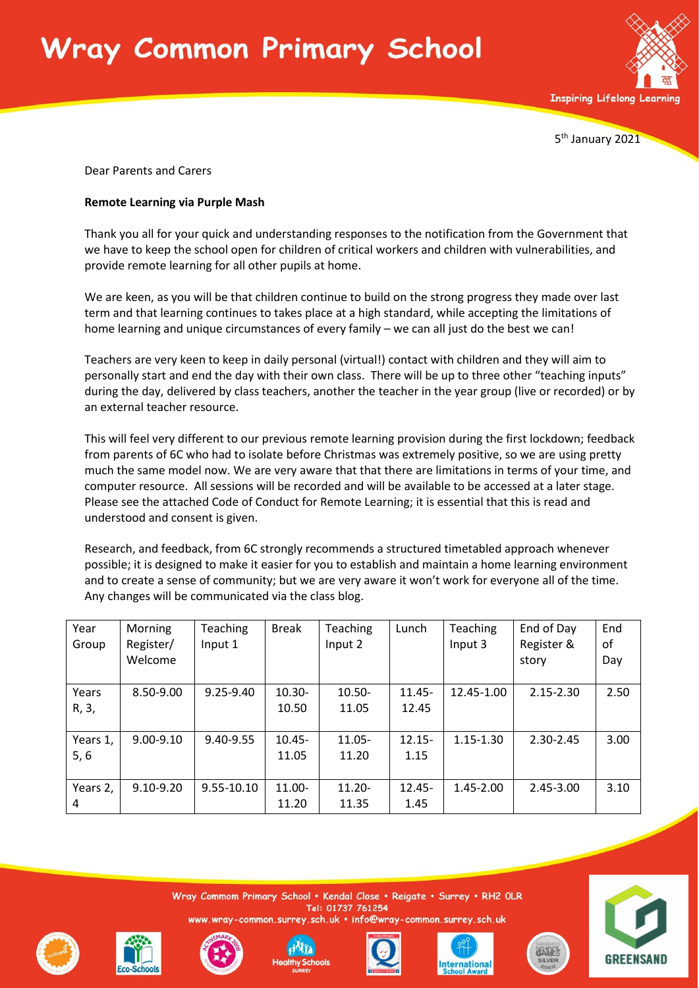



5 th January 2021

Dear Parents and Carers

## **Remote Learning via Purple Mash**

Thank you all for your quick and understanding responses to the notification from the Government that we have to keep the school open for children of critical workers and children with vulnerabilities, and provide remote learning for all other pupils at home.

We are keen, as you will be that children continue to build on the strong progress they made over last term and that learning continues to takes place at a high standard, while accepting the limitations of home learning and unique circumstances of every family – we can all just do the best we can!

Teachers are very keen to keep in daily personal (virtual!) contact with children and they will aim to personally start and end the day with their own class. There will be up to three other "teaching inputs" during the day, delivered by class teachers, another the teacher in the year group (live or recorded) or by an external teacher resource.

This will feel very different to our previous remote learning provision during the first lockdown; feedback from parents of 6C who had to isolate before Christmas was extremely positive, so we are using pretty much the same model now. We are very aware that that there are limitations in terms of your time, and computer resource. All sessions will be recorded and will be available to be accessed at a later stage. Please see the attached Code of Conduct for Remote Learning; it is essential that this is read and understood and consent is given.

Research, and feedback, from 6C strongly recommends a structured timetabled approach whenever possible; it is designed to make it easier for you to establish and maintain a home learning environment and to create a sense of community; but we are very aware it won't work for everyone all of the time. Any changes will be communicated via the class blog.

| Year<br>Group    | Morning<br>Register/<br>Welcome | <b>Teaching</b><br>Input 1 | <b>Break</b>       | Teaching<br>Input 2 | Lunch              | Teaching<br>Input 3 | End of Day<br>Register &<br>story | End<br>οf<br>Day |
|------------------|---------------------------------|----------------------------|--------------------|---------------------|--------------------|---------------------|-----------------------------------|------------------|
| Years<br>R, 3,   | 8.50-9.00                       | 9.25-9.40                  | $10.30 -$<br>10.50 | $10.50 -$<br>11.05  | $11.45 -$<br>12.45 | 12.45-1.00          | 2.15-2.30                         | 2.50             |
| Years 1,<br>5, 6 | $9.00 - 9.10$                   | 9.40-9.55                  | $10.45 -$<br>11.05 | $11.05 -$<br>11.20  | $12.15 -$<br>1.15  | $1.15 - 1.30$       | 2.30-2.45                         | 3.00             |
| Years 2,<br>4    | $9.10 - 9.20$                   | 9.55-10.10                 | 11.00-<br>11.20    | 11.20-<br>11.35     | $12.45 -$<br>1.45  | $1.45 - 2.00$       | 2.45-3.00                         | 3.10             |

Wray Commom Primary School . Kendal Close . Reigate . Surrey . RH2 OLR Tel: 01737 761254